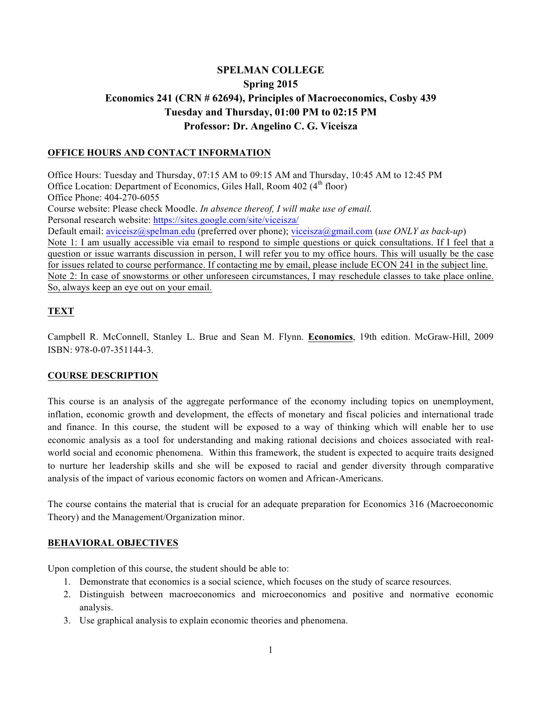# **SPELMAN COLLEGE Spring 2015 Economics 241 (CRN # 62694), Principles of Macroeconomics, Cosby 439 Tuesday and Thursday, 01:00 PM to 02:15 PM Professor: Dr. Angelino C. G. Viceisza**

# **OFFICE HOURS AND CONTACT INFORMATION**

Office Hours: Tuesday and Thursday, 07:15 AM to 09:15 AM and Thursday, 10:45 AM to 12:45 PM Office Location: Department of Economics, Giles Hall, Room 402 (4<sup>th</sup> floor) Office Phone: 404-270-6055 Course website: Please check Moodle. *In absence thereof, I will make use of email.*  Personal research website: https://sites.google.com/site/viceisza/ Default email: aviceisz@spelman.edu (preferred over phone); viceisza@gmail.com (*use ONLY as back-up*) Note 1: I am usually accessible via email to respond to simple questions or quick consultations. If I feel that a question or issue warrants discussion in person, I will refer you to my office hours. This will usually be the case for issues related to course performance. If contacting me by email, please include ECON 241 in the subject line. Note 2: In case of snowstorms or other unforeseen circumstances, I may reschedule classes to take place online. So, always keep an eye out on your email.

# **TEXT**

Campbell R. McConnell, Stanley L. Brue and Sean M. Flynn. **Economics**, 19th edition. McGraw-Hill, 2009 ISBN: 978-0-07-351144-3.

### **COURSE DESCRIPTION**

This course is an analysis of the aggregate performance of the economy including topics on unemployment, inflation, economic growth and development, the effects of monetary and fiscal policies and international trade and finance. In this course, the student will be exposed to a way of thinking which will enable her to use economic analysis as a tool for understanding and making rational decisions and choices associated with realworld social and economic phenomena. Within this framework, the student is expected to acquire traits designed to nurture her leadership skills and she will be exposed to racial and gender diversity through comparative analysis of the impact of various economic factors on women and African-Americans.

The course contains the material that is crucial for an adequate preparation for Economics 316 (Macroeconomic Theory) and the Management/Organization minor.

### **BEHAVIORAL OBJECTIVES**

Upon completion of this course, the student should be able to:

- 1. Demonstrate that economics is a social science, which focuses on the study of scarce resources.
- 2. Distinguish between macroeconomics and microeconomics and positive and normative economic analysis.
- 3. Use graphical analysis to explain economic theories and phenomena.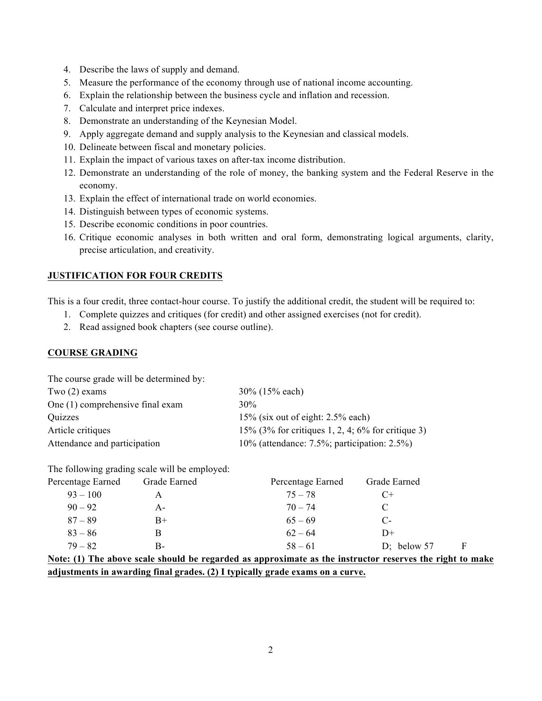- 4. Describe the laws of supply and demand.
- 5. Measure the performance of the economy through use of national income accounting.
- 6. Explain the relationship between the business cycle and inflation and recession.
- 7. Calculate and interpret price indexes.
- 8. Demonstrate an understanding of the Keynesian Model.
- 9. Apply aggregate demand and supply analysis to the Keynesian and classical models.
- 10. Delineate between fiscal and monetary policies.
- 11. Explain the impact of various taxes on after-tax income distribution.
- 12. Demonstrate an understanding of the role of money, the banking system and the Federal Reserve in the economy.
- 13. Explain the effect of international trade on world economies.
- 14. Distinguish between types of economic systems.
- 15. Describe economic conditions in poor countries.
- 16. Critique economic analyses in both written and oral form, demonstrating logical arguments, clarity, precise articulation, and creativity.

### **JUSTIFICATION FOR FOUR CREDITS**

This is a four credit, three contact-hour course. To justify the additional credit, the student will be required to:

- 1. Complete quizzes and critiques (for credit) and other assigned exercises (not for credit).
- 2. Read assigned book chapters (see course outline).

### **COURSE GRADING**

The course grade will be determined by:

| Two $(2)$ exams                  | $30\%$ (15% each)                                    |
|----------------------------------|------------------------------------------------------|
| One (1) comprehensive final exam | 30%                                                  |
| Quizzes                          | $15\%$ (six out of eight: 2.5% each)                 |
| Article critiques                | 15% $(3\%$ for critiques 1, 2, 4; 6% for critique 3) |
| Attendance and participation     | 10% (attendance: $7.5\%$ ; participation: $2.5\%$ )  |

The following grading scale will be employed:

| Percentage Earned | Grade Earned | Percentage Earned | Grade Earned                                                                                                    |  |
|-------------------|--------------|-------------------|-----------------------------------------------------------------------------------------------------------------|--|
| $93 - 100$        | A            | $75 - 78$         | $C+$                                                                                                            |  |
| $90 - 92$         | A-           | $70 - 74$         |                                                                                                                 |  |
| $87 - 89$         | $B+$         | $65 - 69$         | $C-$                                                                                                            |  |
| $83 - 86$         | В            | $62 - 64$         | D+                                                                                                              |  |
| $79 - 82$         | В-           | $58 - 61$         | D; below $57$<br>F                                                                                              |  |
|                   | .            |                   | the contract of the contract of the contract of the contract of the contract of the contract of the contract of |  |

**Note: (1) The above scale should be regarded as approximate as the instructor reserves the right to make adjustments in awarding final grades. (2) I typically grade exams on a curve.**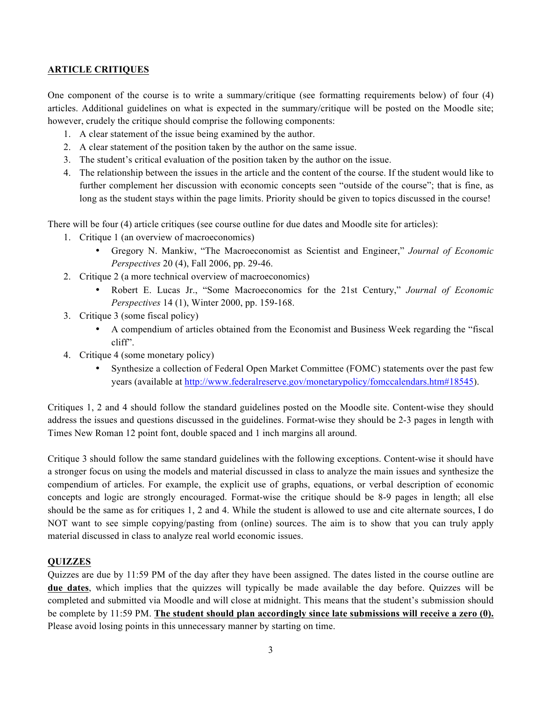## **ARTICLE CRITIQUES**

One component of the course is to write a summary/critique (see formatting requirements below) of four (4) articles. Additional guidelines on what is expected in the summary/critique will be posted on the Moodle site; however, crudely the critique should comprise the following components:

- 1. A clear statement of the issue being examined by the author.
- 2. A clear statement of the position taken by the author on the same issue.
- 3. The student's critical evaluation of the position taken by the author on the issue.
- 4. The relationship between the issues in the article and the content of the course. If the student would like to further complement her discussion with economic concepts seen "outside of the course"; that is fine, as long as the student stays within the page limits. Priority should be given to topics discussed in the course!

There will be four (4) article critiques (see course outline for due dates and Moodle site for articles):

- 1. Critique 1 (an overview of macroeconomics)
	- Gregory N. Mankiw, "The Macroeconomist as Scientist and Engineer," *Journal of Economic Perspectives* 20 (4), Fall 2006, pp. 29-46.
- 2. Critique 2 (a more technical overview of macroeconomics)
	- Robert E. Lucas Jr., "Some Macroeconomics for the 21st Century," *Journal of Economic Perspectives* 14 (1), Winter 2000, pp. 159-168.
- 3. Critique 3 (some fiscal policy)
	- A compendium of articles obtained from the Economist and Business Week regarding the "fiscal cliff".
- 4. Critique 4 (some monetary policy)
	- Synthesize a collection of Federal Open Market Committee (FOMC) statements over the past few years (available at http://www.federalreserve.gov/monetarypolicy/fomccalendars.htm#18545).

Critiques 1, 2 and 4 should follow the standard guidelines posted on the Moodle site. Content-wise they should address the issues and questions discussed in the guidelines. Format-wise they should be 2-3 pages in length with Times New Roman 12 point font, double spaced and 1 inch margins all around.

Critique 3 should follow the same standard guidelines with the following exceptions. Content-wise it should have a stronger focus on using the models and material discussed in class to analyze the main issues and synthesize the compendium of articles. For example, the explicit use of graphs, equations, or verbal description of economic concepts and logic are strongly encouraged. Format-wise the critique should be 8-9 pages in length; all else should be the same as for critiques 1, 2 and 4. While the student is allowed to use and cite alternate sources, I do NOT want to see simple copying/pasting from (online) sources. The aim is to show that you can truly apply material discussed in class to analyze real world economic issues.

### **QUIZZES**

Quizzes are due by 11:59 PM of the day after they have been assigned. The dates listed in the course outline are **due dates**, which implies that the quizzes will typically be made available the day before. Quizzes will be completed and submitted via Moodle and will close at midnight. This means that the student's submission should be complete by 11:59 PM. **The student should plan accordingly since late submissions will receive a zero (0).** Please avoid losing points in this unnecessary manner by starting on time.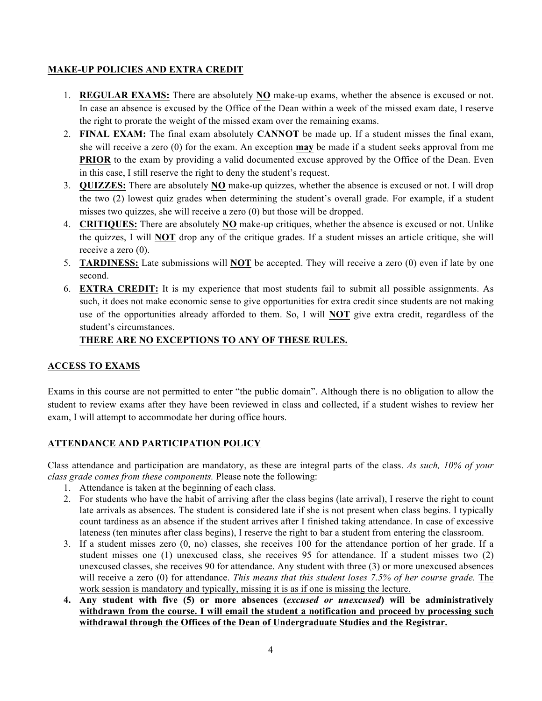# **MAKE-UP POLICIES AND EXTRA CREDIT**

- 1. **REGULAR EXAMS:** There are absolutely **NO** make-up exams, whether the absence is excused or not. In case an absence is excused by the Office of the Dean within a week of the missed exam date, I reserve the right to prorate the weight of the missed exam over the remaining exams.
- 2. **FINAL EXAM:** The final exam absolutely **CANNOT** be made up. If a student misses the final exam, she will receive a zero (0) for the exam. An exception **may** be made if a student seeks approval from me **PRIOR** to the exam by providing a valid documented excuse approved by the Office of the Dean. Even in this case, I still reserve the right to deny the student's request.
- 3. **QUIZZES:** There are absolutely **NO** make-up quizzes, whether the absence is excused or not. I will drop the two (2) lowest quiz grades when determining the student's overall grade. For example, if a student misses two quizzes, she will receive a zero (0) but those will be dropped.
- 4. **CRITIQUES:** There are absolutely **NO** make-up critiques, whether the absence is excused or not. Unlike the quizzes, I will **NOT** drop any of the critique grades. If a student misses an article critique, she will receive a zero (0).
- 5. **TARDINESS:** Late submissions will **NOT** be accepted. They will receive a zero (0) even if late by one second.
- 6. **EXTRA CREDIT:** It is my experience that most students fail to submit all possible assignments. As such, it does not make economic sense to give opportunities for extra credit since students are not making use of the opportunities already afforded to them. So, I will **NOT** give extra credit, regardless of the student's circumstances.

# **THERE ARE NO EXCEPTIONS TO ANY OF THESE RULES.**

# **ACCESS TO EXAMS**

Exams in this course are not permitted to enter "the public domain". Although there is no obligation to allow the student to review exams after they have been reviewed in class and collected, if a student wishes to review her exam, I will attempt to accommodate her during office hours.

# **ATTENDANCE AND PARTICIPATION POLICY**

Class attendance and participation are mandatory, as these are integral parts of the class. *As such, 10% of your class grade comes from these components.* Please note the following:

- 1. Attendance is taken at the beginning of each class.
- 2. For students who have the habit of arriving after the class begins (late arrival), I reserve the right to count late arrivals as absences. The student is considered late if she is not present when class begins. I typically count tardiness as an absence if the student arrives after I finished taking attendance. In case of excessive lateness (ten minutes after class begins), I reserve the right to bar a student from entering the classroom.
- 3. If a student misses zero (0, no) classes, she receives 100 for the attendance portion of her grade. If a student misses one (1) unexcused class, she receives 95 for attendance. If a student misses two (2) unexcused classes, she receives 90 for attendance. Any student with three (3) or more unexcused absences will receive a zero (0) for attendance. *This means that this student loses 7.5% of her course grade.* The work session is mandatory and typically, missing it is as if one is missing the lecture.
- **4. Any student with five (5) or more absences (***excused or unexcused***) will be administratively withdrawn from the course. I will email the student a notification and proceed by processing such withdrawal through the Offices of the Dean of Undergraduate Studies and the Registrar.**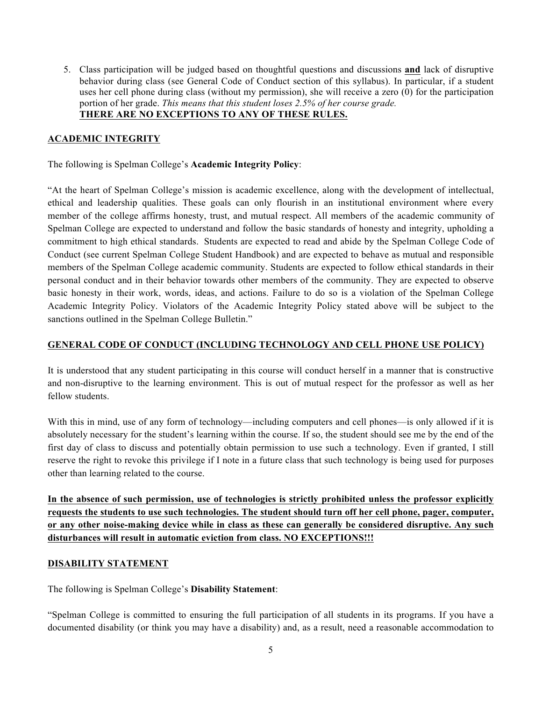5. Class participation will be judged based on thoughtful questions and discussions **and** lack of disruptive behavior during class (see General Code of Conduct section of this syllabus). In particular, if a student uses her cell phone during class (without my permission), she will receive a zero (0) for the participation portion of her grade. *This means that this student loses 2.5% of her course grade.* **THERE ARE NO EXCEPTIONS TO ANY OF THESE RULES.**

### **ACADEMIC INTEGRITY**

The following is Spelman College's **Academic Integrity Policy**:

"At the heart of Spelman College's mission is academic excellence, along with the development of intellectual, ethical and leadership qualities. These goals can only flourish in an institutional environment where every member of the college affirms honesty, trust, and mutual respect. All members of the academic community of Spelman College are expected to understand and follow the basic standards of honesty and integrity, upholding a commitment to high ethical standards. Students are expected to read and abide by the Spelman College Code of Conduct (see current Spelman College Student Handbook) and are expected to behave as mutual and responsible members of the Spelman College academic community. Students are expected to follow ethical standards in their personal conduct and in their behavior towards other members of the community. They are expected to observe basic honesty in their work, words, ideas, and actions. Failure to do so is a violation of the Spelman College Academic Integrity Policy. Violators of the Academic Integrity Policy stated above will be subject to the sanctions outlined in the Spelman College Bulletin."

### **GENERAL CODE OF CONDUCT (INCLUDING TECHNOLOGY AND CELL PHONE USE POLICY)**

It is understood that any student participating in this course will conduct herself in a manner that is constructive and non-disruptive to the learning environment. This is out of mutual respect for the professor as well as her fellow students.

With this in mind, use of any form of technology—including computers and cell phones—is only allowed if it is absolutely necessary for the student's learning within the course. If so, the student should see me by the end of the first day of class to discuss and potentially obtain permission to use such a technology. Even if granted, I still reserve the right to revoke this privilege if I note in a future class that such technology is being used for purposes other than learning related to the course.

**In the absence of such permission, use of technologies is strictly prohibited unless the professor explicitly requests the students to use such technologies. The student should turn off her cell phone, pager, computer, or any other noise-making device while in class as these can generally be considered disruptive. Any such disturbances will result in automatic eviction from class. NO EXCEPTIONS!!!**

### **DISABILITY STATEMENT**

The following is Spelman College's **Disability Statement**:

"Spelman College is committed to ensuring the full participation of all students in its programs. If you have a documented disability (or think you may have a disability) and, as a result, need a reasonable accommodation to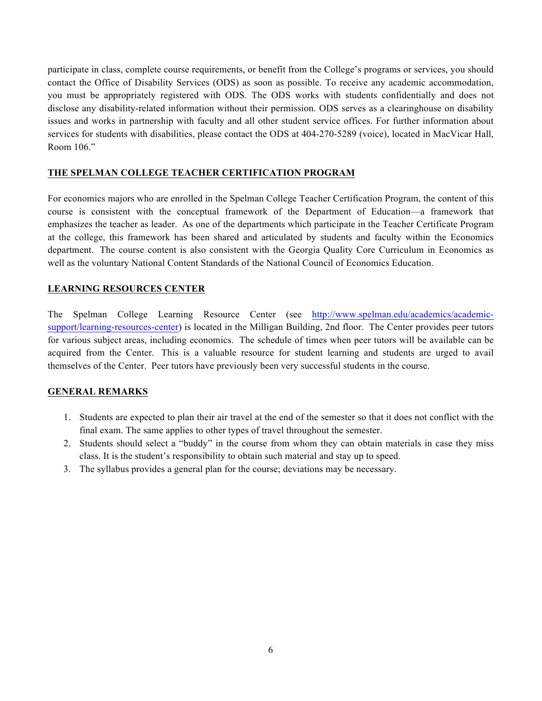participate in class, complete course requirements, or benefit from the College's programs or services, you should contact the Office of Disability Services (ODS) as soon as possible. To receive any academic accommodation, you must be appropriately registered with ODS. The ODS works with students confidentially and does not disclose any disability-related information without their permission. ODS serves as a clearinghouse on disability issues and works in partnership with faculty and all other student service offices. For further information about services for students with disabilities, please contact the ODS at 404-270-5289 (voice), located in MacVicar Hall, Room 106."

# **THE SPELMAN COLLEGE TEACHER CERTIFICATION PROGRAM**

For economics majors who are enrolled in the Spelman College Teacher Certification Program, the content of this course is consistent with the conceptual framework of the Department of Education—a framework that emphasizes the teacher as leader. As one of the departments which participate in the Teacher Certificate Program at the college, this framework has been shared and articulated by students and faculty within the Economics department. The course content is also consistent with the Georgia Quality Core Curriculum in Economics as well as the voluntary National Content Standards of the National Council of Economics Education.

### **LEARNING RESOURCES CENTER**

The Spelman College Learning Resource Center (see http://www.spelman.edu/academics/academicsupport/learning-resources-center) is located in the Milligan Building, 2nd floor. The Center provides peer tutors for various subject areas, including economics. The schedule of times when peer tutors will be available can be acquired from the Center. This is a valuable resource for student learning and students are urged to avail themselves of the Center. Peer tutors have previously been very successful students in the course.

# **GENERAL REMARKS**

- 1. Students are expected to plan their air travel at the end of the semester so that it does not conflict with the final exam. The same applies to other types of travel throughout the semester.
- 2. Students should select a "buddy" in the course from whom they can obtain materials in case they miss class. It is the student's responsibility to obtain such material and stay up to speed.
- 3. The syllabus provides a general plan for the course; deviations may be necessary.